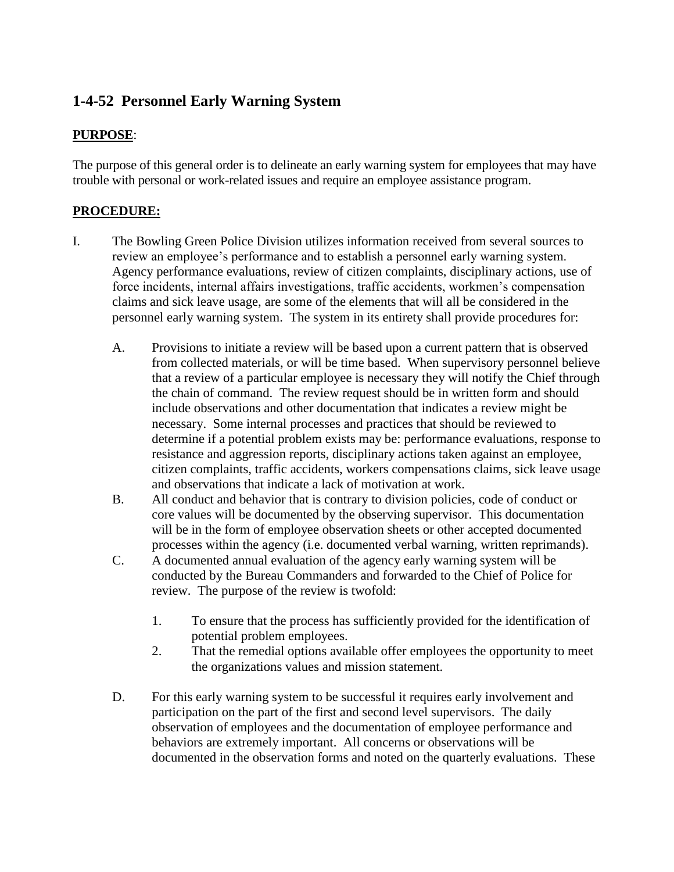# **1-4-52 Personnel Early Warning System**

#### **PURPOSE**:

The purpose of this general order is to delineate an early warning system for employees that may have trouble with personal or work-related issues and require an employee assistance program.

### **PROCEDURE:**

- I. The Bowling Green Police Division utilizes information received from several sources to review an employee's performance and to establish a personnel early warning system. Agency performance evaluations, review of citizen complaints, disciplinary actions, use of force incidents, internal affairs investigations, traffic accidents, workmen's compensation claims and sick leave usage, are some of the elements that will all be considered in the personnel early warning system. The system in its entirety shall provide procedures for:
	- A. Provisions to initiate a review will be based upon a current pattern that is observed from collected materials, or will be time based. When supervisory personnel believe that a review of a particular employee is necessary they will notify the Chief through the chain of command. The review request should be in written form and should include observations and other documentation that indicates a review might be necessary. Some internal processes and practices that should be reviewed to determine if a potential problem exists may be: performance evaluations, response to resistance and aggression reports, disciplinary actions taken against an employee, citizen complaints, traffic accidents, workers compensations claims, sick leave usage and observations that indicate a lack of motivation at work.
	- B. All conduct and behavior that is contrary to division policies, code of conduct or core values will be documented by the observing supervisor. This documentation will be in the form of employee observation sheets or other accepted documented processes within the agency (i.e. documented verbal warning, written reprimands).
	- C. A documented annual evaluation of the agency early warning system will be conducted by the Bureau Commanders and forwarded to the Chief of Police for review. The purpose of the review is twofold:
		- 1. To ensure that the process has sufficiently provided for the identification of potential problem employees.
		- 2. That the remedial options available offer employees the opportunity to meet the organizations values and mission statement.
	- D. For this early warning system to be successful it requires early involvement and participation on the part of the first and second level supervisors. The daily observation of employees and the documentation of employee performance and behaviors are extremely important. All concerns or observations will be documented in the observation forms and noted on the quarterly evaluations. These